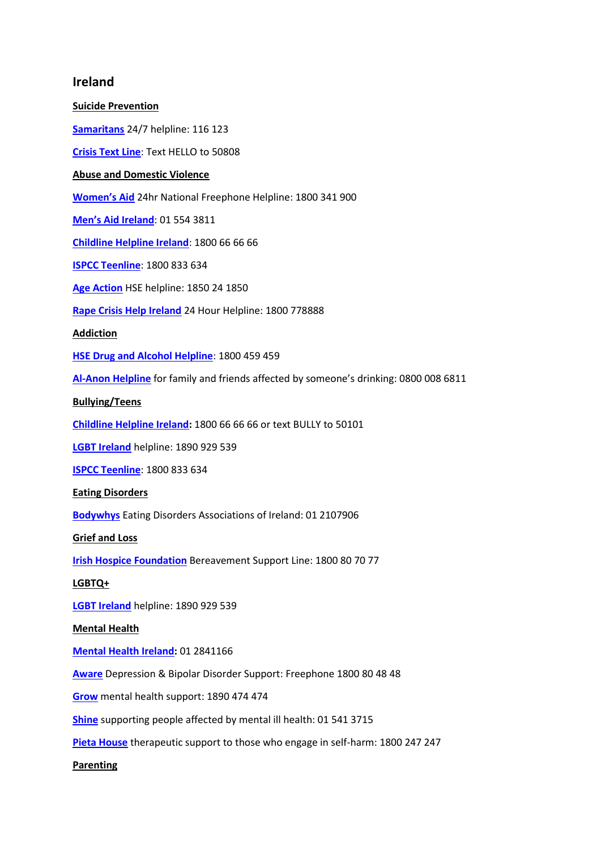## **Ireland**

**Suicide Prevention [Samaritans](https://www.samaritans.org/how-we-can-help-you/contact-us)** 24/7 helpline: 116 123 **[Crisis Text Line](https://text50808.ie/)**: Text HELLO to 50808 **Abuse and Domestic Violence [Women's Aid](https://www.womensaid.ie/services/helpline.html)** 24hr National Freephone Helpline: 1800 341 900 **[Men's Aid Ireland](http://www.amen.ie/)**: 01 554 3811 **[Childline Helpline Ireland](http://www.childline.ie/)**: 1800 66 66 66 **[ISPCC Teenline](https://www.ispcc.ie/teenline/)**: 1800 833 634 **[Age Action](https://www.ageaction.ie/how-we-can-help/elder-abuse)** HSE helpline: 1850 24 1850 **[Rape Crisis Help Ireland](https://www.rapecrisishelp.ie/)** 24 Hour Helpline: 1800 778888 **Addiction [HSE Drug and Alcohol Helpline](https://www.drugs.ie/phone)**: 1800 459 459 **[Al-Anon Helpline](https://www.al-anonuk.org.uk/helpline/)** for family and friends affected by someone's drinking: 0800 008 6811 **Bullying/Teens [Childline Helpline Ireland:](http://www.childline.ie/)** 1800 66 66 66 or text BULLY to 50101 **[LGBT Ireland](https://lgbt.ie/)** helpline: 1890 929 539 **[ISPCC Teenline](https://www.ispcc.ie/teenline/)**: 1800 833 634 **Eating Disorders [Bodywhys](http://www.bodywhys.ie/)** Eating Disorders Associations of Ireland: 01 2107906 **Grief and Loss [Irish Hospice Foundation](https://hospicefoundation.ie/our-supports-services/bereavement-loss-hub/bereavement-support-line/)** Bereavement Support Line: 1800 80 70 77 **LGBTQ+ [LGBT Ireland](https://lgbt.ie/)** helpline: 1890 929 539 **Mental Health [Mental Health Ireland:](https://www.mentalhealthireland.ie/)** 01 2841166 **[Aware](http://www.aware.ie/)** Depression & Bipolar Disorder Support: Freephone 1800 80 48 48 **[Grow](https://grow.ie/)** mental health support: 1890 474 474 **[Shine](https://shine.ie/)** supporting people affected by mental ill health: 01 541 3715 **[Pieta House](http://www.pieta.ie/)** therapeutic support to those who engage in self-harm: 1800 247 247 **Parenting**